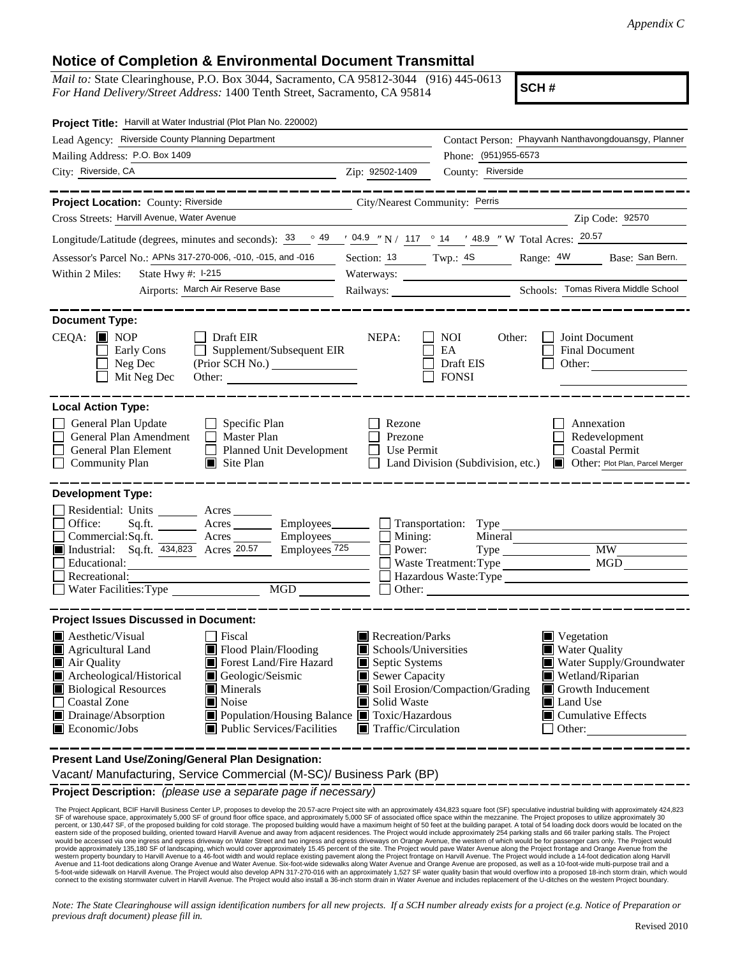## **Notice of Completion & Environmental Document Transmittal**

*Mail to:* State Clearinghouse, P.O. Box 3044, Sacramento, CA 95812-3044 (916) 445-0613 *For Hand Delivery/Street Address:* 1400 Tenth Street, Sacramento, CA 95814

**SCH #**

| Project Title: Harvill at Water Industrial (Plot Plan No. 220002)                                                                                                                                                                                                                                                                   |                                                                                                                                                                                                    |                                                                                                                       |                                                                                                                                                                    |
|-------------------------------------------------------------------------------------------------------------------------------------------------------------------------------------------------------------------------------------------------------------------------------------------------------------------------------------|----------------------------------------------------------------------------------------------------------------------------------------------------------------------------------------------------|-----------------------------------------------------------------------------------------------------------------------|--------------------------------------------------------------------------------------------------------------------------------------------------------------------|
| Lead Agency: Riverside County Planning Department                                                                                                                                                                                                                                                                                   |                                                                                                                                                                                                    |                                                                                                                       | Contact Person: Phayvanh Nanthavongdouansgy, Planner                                                                                                               |
| Mailing Address: P.O. Box 1409                                                                                                                                                                                                                                                                                                      |                                                                                                                                                                                                    | Phone: (951)955-6573                                                                                                  |                                                                                                                                                                    |
| City: Riverside, CA<br><u> 1989 - Johann Barn, fransk politik amerikansk politik (</u>                                                                                                                                                                                                                                              | Zip: 92502-1409                                                                                                                                                                                    | County: Riverside                                                                                                     |                                                                                                                                                                    |
| _________                                                                                                                                                                                                                                                                                                                           |                                                                                                                                                                                                    |                                                                                                                       | _______________                                                                                                                                                    |
| Project Location: County: Riverside                                                                                                                                                                                                                                                                                                 | City/Nearest Community: Perris                                                                                                                                                                     |                                                                                                                       |                                                                                                                                                                    |
| Cross Streets: Harvill Avenue, Water Avenue                                                                                                                                                                                                                                                                                         |                                                                                                                                                                                                    | <u> 1989 - Johann Harry Harry Harry Harry Harry Harry Harry Harry Harry Harry Harry Harry Harry Harry Harry Harry</u> | Zip Code: 92570                                                                                                                                                    |
| Longitude/Latitude (degrees, minutes and seconds): $\frac{33}{9}$ $\frac{49}{9}$ $\frac{104.9}{9}$ N / 117 $\degree$ 14 $\degree$ 14 N Total Acres: $\frac{20.57}{9}$                                                                                                                                                               |                                                                                                                                                                                                    |                                                                                                                       |                                                                                                                                                                    |
| Assessor's Parcel No.: APNs 317-270-006, -010, -015, and -016                                                                                                                                                                                                                                                                       |                                                                                                                                                                                                    |                                                                                                                       | Section: 13 Twp.: 48 Range: 4W Base: San Bern.                                                                                                                     |
| State Hwy #: 1-215<br>Within 2 Miles:                                                                                                                                                                                                                                                                                               |                                                                                                                                                                                                    |                                                                                                                       |                                                                                                                                                                    |
| Airports: March Air Reserve Base                                                                                                                                                                                                                                                                                                    |                                                                                                                                                                                                    |                                                                                                                       |                                                                                                                                                                    |
|                                                                                                                                                                                                                                                                                                                                     |                                                                                                                                                                                                    |                                                                                                                       |                                                                                                                                                                    |
| <b>Document Type:</b><br>$CEQA:$ MOP<br>Draft EIR<br>Supplement/Subsequent EIR<br>Early Cons<br>$\perp$<br>Neg Dec<br>(Prior SCH No.)<br>Mit Neg Dec<br>Other:                                                                                                                                                                      | NEPA:                                                                                                                                                                                              | NOI<br>Other:<br>EA<br>Draft EIS<br><b>FONSI</b>                                                                      | Joint Document<br><b>Final Document</b><br>Other:                                                                                                                  |
| <b>Local Action Type:</b><br>General Plan Update<br>$\Box$ Specific Plan<br>General Plan Amendment<br>$\Box$ Master Plan<br>General Plan Element<br>Planned Unit Development<br><b>Community Plan</b><br>$\blacksquare$ Site Plan                                                                                                   | Rezone<br>Prezone<br>Use Permit<br>$\mathbf{L}$                                                                                                                                                    | Land Division (Subdivision, etc.)                                                                                     | Annexation<br>Redevelopment<br><b>Coastal Permit</b><br>Other: Plot Plan, Parcel Merger                                                                            |
| <b>Development Type:</b>                                                                                                                                                                                                                                                                                                            |                                                                                                                                                                                                    |                                                                                                                       |                                                                                                                                                                    |
| Residential: Units ________ Acres _______<br>Office:<br>$Sq.ft.$ Acres<br>Acres Employees<br>Commercial:Sq.ft.<br>Industrial: Sq.ft. 434,823 Acres 20.57 Employees 725<br>Educational:<br>Recreational:<br>Water Facilities: Type                                                                                                   | Employees Transportation: Type<br>Mining:<br>$\Box$<br>Power:<br>MGD                                                                                                                               | Mineral<br>Waste Treatment: Type<br>Hazardous Waste: Type<br>$\Box$ Other: $\Box$                                     | <b>MW</b><br>MGD                                                                                                                                                   |
| <b>Project Issues Discussed in Document:</b>                                                                                                                                                                                                                                                                                        |                                                                                                                                                                                                    |                                                                                                                       |                                                                                                                                                                    |
| $\blacksquare$ Aesthetic/Visual<br>  Fiscal<br>Flood Plain/Flooding<br>Agricultural Land<br>Forest Land/Fire Hazard<br>Air Quality<br>Archeological/Historical<br>Geologic/Seismic<br><b>Biological Resources</b><br>Minerals<br><b>Coastal Zone</b><br>Noise<br>Drainage/Absorption<br>Economic/Jobs<br>Public Services/Facilities | Recreation/Parks<br>$\blacksquare$ Schools/Universities<br>Septic Systems<br>Sewer Capacity<br>Solid Waste<br>■ Population/Housing Balance ■ Toxic/Hazardous<br>$\blacksquare$ Traffic/Circulation | Soil Erosion/Compaction/Grading                                                                                       | Vegetation<br><b>Water Quality</b><br>Water Supply/Groundwater<br>Wetland/Riparian<br>Growth Inducement<br>Land Use<br>$\blacksquare$ Cumulative Effects<br>Other: |
| Present Land Use/Zoning/General Plan Designation:                                                                                                                                                                                                                                                                                   |                                                                                                                                                                                                    |                                                                                                                       |                                                                                                                                                                    |

Vacant/ Manufacturing, Service Commercial (M-SC)/ Business Park (BP)

**Project Description:** *(please use a separate page if necessary)*

The Project Applicant, BCIF Harvill Business Center LP, proposes to develop the 20.57-acre Project site with an approximately 434,823 square foot (SF) speculative industrial building with approximately 424,823<br>SF of wareho The Project Applicant, BCIF Harvill Business Center LP, proposes to develop the 20.57-acre Project site with an approximately 434,823 square foot (SF) speculative industrial building with approximately 424,823 eastern side of the proposed building, oriented toward Harvill Avenue and away from adjacent residences. The Project would include approximately 254 parking stalls and 66 trailer parking stalls. The Project would<br>would be provide approximately 135,180 SF of landscaping, which would cover approximately 15.45 percent of the site. The Project would pave Water Avenue along the Project frontage and Orange Avenue from the energy and Orange Avenue western property boundary to Harvill Avenue to a 46-foot width and would replace existing pavement along the Project frontage on Harvill Avenue. The Project would include a 14-foot dedication along Harvill<br>Avenue and 11-fo 5-foot-wide sidewalk on Harvill Avenue. The Project would also develop APN 317-270-016 with an approximately 1,527 SF water quality basin that would overflow into a proposed 18-inch storm drain, which would<br>connect to the

*Note: The State Clearinghouse will assign identification numbers for all new projects. If a SCH number already exists for a project (e.g. Notice of Preparation or previous draft document) please fill in.*